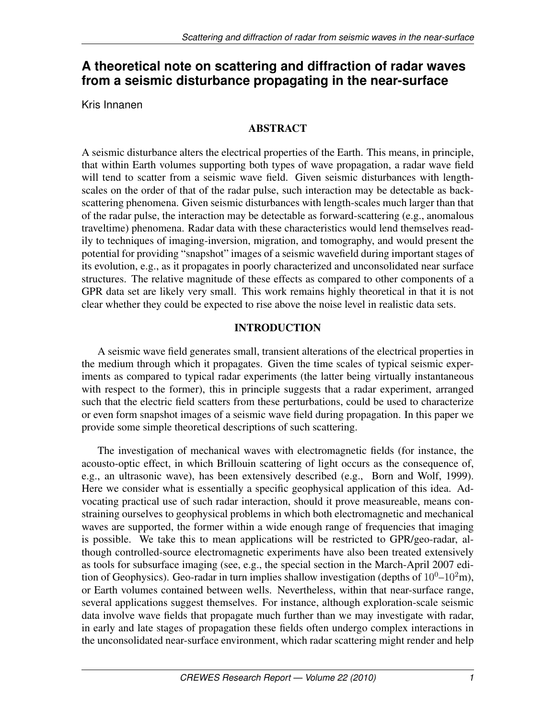# **A theoretical note on scattering and diffraction of radar waves from a seismic disturbance propagating in the near-surface**

Kris Innanen

## ABSTRACT

A seismic disturbance alters the electrical properties of the Earth. This means, in principle, that within Earth volumes supporting both types of wave propagation, a radar wave field will tend to scatter from a seismic wave field. Given seismic disturbances with lengthscales on the order of that of the radar pulse, such interaction may be detectable as backscattering phenomena. Given seismic disturbances with length-scales much larger than that of the radar pulse, the interaction may be detectable as forward-scattering (e.g., anomalous traveltime) phenomena. Radar data with these characteristics would lend themselves readily to techniques of imaging-inversion, migration, and tomography, and would present the potential for providing "snapshot" images of a seismic wavefield during important stages of its evolution, e.g., as it propagates in poorly characterized and unconsolidated near surface structures. The relative magnitude of these effects as compared to other components of a GPR data set are likely very small. This work remains highly theoretical in that it is not clear whether they could be expected to rise above the noise level in realistic data sets.

## INTRODUCTION

A seismic wave field generates small, transient alterations of the electrical properties in the medium through which it propagates. Given the time scales of typical seismic experiments as compared to typical radar experiments (the latter being virtually instantaneous with respect to the former), this in principle suggests that a radar experiment, arranged such that the electric field scatters from these perturbations, could be used to characterize or even form snapshot images of a seismic wave field during propagation. In this paper we provide some simple theoretical descriptions of such scattering.

The investigation of mechanical waves with electromagnetic fields (for instance, the acousto-optic effect, in which Brillouin scattering of light occurs as the consequence of, e.g., an ultrasonic wave), has been extensively described (e.g., Born and Wolf, 1999). Here we consider what is essentially a specific geophysical application of this idea. Advocating practical use of such radar interaction, should it prove measureable, means constraining ourselves to geophysical problems in which both electromagnetic and mechanical waves are supported, the former within a wide enough range of frequencies that imaging is possible. We take this to mean applications will be restricted to GPR/geo-radar, although controlled-source electromagnetic experiments have also been treated extensively as tools for subsurface imaging (see, e.g., the special section in the March-April 2007 edition of Geophysics). Geo-radar in turn implies shallow investigation (depths of  $10^0$ – $10^2$ m), or Earth volumes contained between wells. Nevertheless, within that near-surface range, several applications suggest themselves. For instance, although exploration-scale seismic data involve wave fields that propagate much further than we may investigate with radar, in early and late stages of propagation these fields often undergo complex interactions in the unconsolidated near-surface environment, which radar scattering might render and help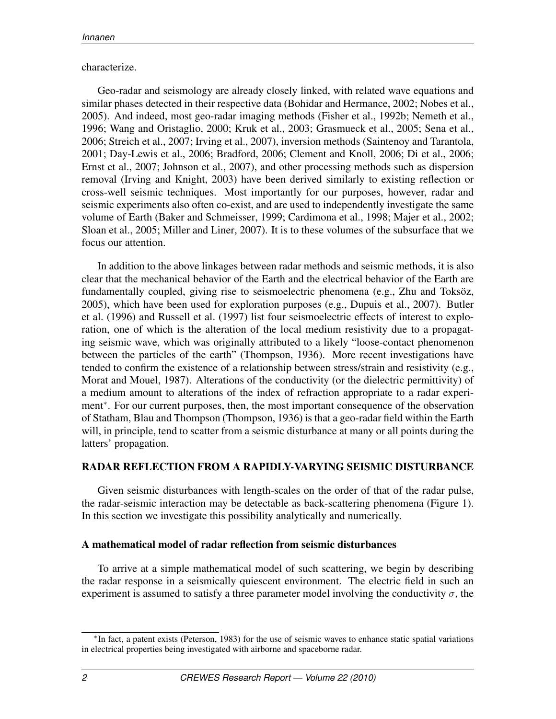## characterize.

Geo-radar and seismology are already closely linked, with related wave equations and similar phases detected in their respective data (Bohidar and Hermance, 2002; Nobes et al., 2005). And indeed, most geo-radar imaging methods (Fisher et al., 1992b; Nemeth et al., 1996; Wang and Oristaglio, 2000; Kruk et al., 2003; Grasmueck et al., 2005; Sena et al., 2006; Streich et al., 2007; Irving et al., 2007), inversion methods (Saintenoy and Tarantola, 2001; Day-Lewis et al., 2006; Bradford, 2006; Clement and Knoll, 2006; Di et al., 2006; Ernst et al., 2007; Johnson et al., 2007), and other processing methods such as dispersion removal (Irving and Knight, 2003) have been derived similarly to existing reflection or cross-well seismic techniques. Most importantly for our purposes, however, radar and seismic experiments also often co-exist, and are used to independently investigate the same volume of Earth (Baker and Schmeisser, 1999; Cardimona et al., 1998; Majer et al., 2002; Sloan et al., 2005; Miller and Liner, 2007). It is to these volumes of the subsurface that we focus our attention.

In addition to the above linkages between radar methods and seismic methods, it is also clear that the mechanical behavior of the Earth and the electrical behavior of the Earth are fundamentally coupled, giving rise to seismoelectric phenomena (e.g., Zhu and Toksöz, 2005), which have been used for exploration purposes (e.g., Dupuis et al., 2007). Butler et al. (1996) and Russell et al. (1997) list four seismoelectric effects of interest to exploration, one of which is the alteration of the local medium resistivity due to a propagating seismic wave, which was originally attributed to a likely "loose-contact phenomenon between the particles of the earth" (Thompson, 1936). More recent investigations have tended to confirm the existence of a relationship between stress/strain and resistivity (e.g., Morat and Mouel, 1987). Alterations of the conductivity (or the dielectric permittivity) of a medium amount to alterations of the index of refraction appropriate to a radar experiment<sup>∗</sup>. For our current purposes, then, the most important consequence of the observation of Statham, Blau and Thompson (Thompson, 1936) is that a geo-radar field within the Earth will, in principle, tend to scatter from a seismic disturbance at many or all points during the latters' propagation.

## RADAR REFLECTION FROM A RAPIDLY-VARYING SEISMIC DISTURBANCE

Given seismic disturbances with length-scales on the order of that of the radar pulse, the radar-seismic interaction may be detectable as back-scattering phenomena (Figure 1). In this section we investigate this possibility analytically and numerically.

## A mathematical model of radar reflection from seismic disturbances

To arrive at a simple mathematical model of such scattering, we begin by describing the radar response in a seismically quiescent environment. The electric field in such an experiment is assumed to satisfy a three parameter model involving the conductivity  $\sigma$ , the

<sup>∗</sup> In fact, a patent exists (Peterson, 1983) for the use of seismic waves to enhance static spatial variations in electrical properties being investigated with airborne and spaceborne radar.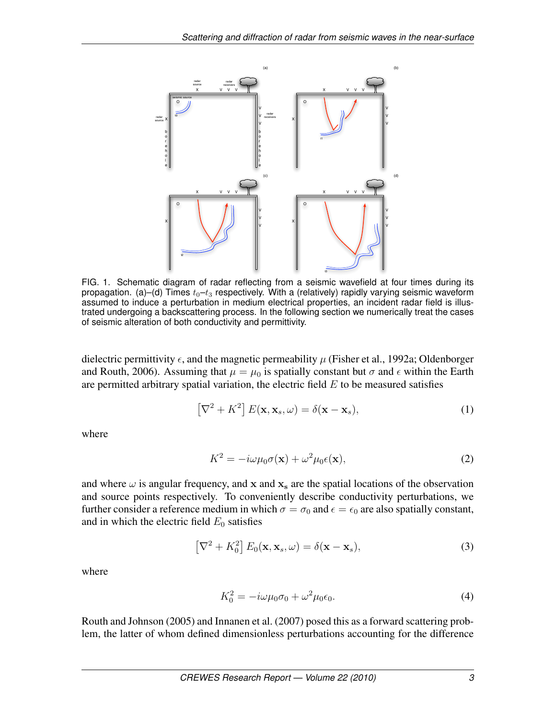

FIG. 1. Schematic diagram of radar reflecting from a seismic wavefield at four times during its propagation. (a)–(d) Times  $t_0$ – $t_3$  respectively. With a (relatively) rapidly varying seismic waveform assumed to induce a perturbation in medium electrical properties, an incident radar field is illustrated undergoing a backscattering process. In the following section we numerically treat the cases of seismic alteration of both conductivity and permittivity.

dielectric permittivity  $\epsilon$ , and the magnetic permeability  $\mu$  (Fisher et al., 1992a; Oldenborger and Routh, 2006). Assuming that  $\mu = \mu_0$  is spatially constant but  $\sigma$  and  $\epsilon$  within the Earth are permitted arbitrary spatial variation, the electric field  $E$  to be measured satisfies

$$
\left[\nabla^2 + K^2\right] E(\mathbf{x}, \mathbf{x}_s, \omega) = \delta(\mathbf{x} - \mathbf{x}_s),\tag{1}
$$

where

$$
K^2 = -i\omega\mu_0\sigma(\mathbf{x}) + \omega^2\mu_0\epsilon(\mathbf{x}),\tag{2}
$$

and where  $\omega$  is angular frequency, and x and  $x_s$  are the spatial locations of the observation and source points respectively. To conveniently describe conductivity perturbations, we further consider a reference medium in which  $\sigma = \sigma_0$  and  $\epsilon = \epsilon_0$  are also spatially constant, and in which the electric field  $E_0$  satisfies

$$
\left[\nabla^2 + K_0^2\right] E_0(\mathbf{x}, \mathbf{x}_s, \omega) = \delta(\mathbf{x} - \mathbf{x}_s),\tag{3}
$$

where

$$
K_0^2 = -i\omega\mu_0\sigma_0 + \omega^2\mu_0\epsilon_0.
$$
\n<sup>(4)</sup>

Routh and Johnson (2005) and Innanen et al. (2007) posed this as a forward scattering problem, the latter of whom defined dimensionless perturbations accounting for the difference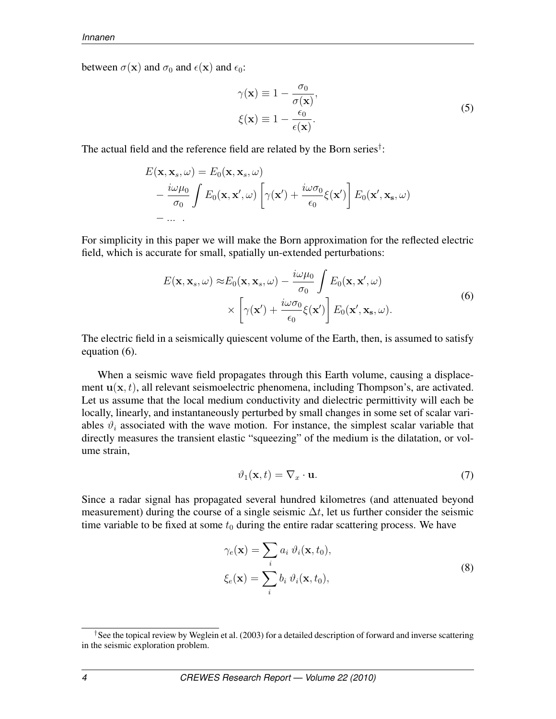between  $\sigma(\mathbf{x})$  and  $\sigma_0$  and  $\epsilon(\mathbf{x})$  and  $\epsilon_0$ :

$$
\gamma(\mathbf{x}) \equiv 1 - \frac{\sigma_0}{\sigma(\mathbf{x})},
$$
  
\n
$$
\xi(\mathbf{x}) \equiv 1 - \frac{\epsilon_0}{\epsilon(\mathbf{x})}.
$$
\n(5)

The actual field and the reference field are related by the Born series<sup>†</sup>:

$$
E(\mathbf{x}, \mathbf{x}_s, \omega) = E_0(\mathbf{x}, \mathbf{x}_s, \omega)
$$
  
 
$$
- \frac{i\omega\mu_0}{\sigma_0} \int E_0(\mathbf{x}, \mathbf{x}', \omega) \left[ \gamma(\mathbf{x}') + \frac{i\omega\sigma_0}{\epsilon_0} \xi(\mathbf{x}') \right] E_0(\mathbf{x}', \mathbf{x}_s, \omega)
$$
  
- ...

For simplicity in this paper we will make the Born approximation for the reflected electric field, which is accurate for small, spatially un-extended perturbations:

$$
E(\mathbf{x}, \mathbf{x}_s, \omega) \approx E_0(\mathbf{x}, \mathbf{x}_s, \omega) - \frac{i\omega\mu_0}{\sigma_0} \int E_0(\mathbf{x}, \mathbf{x}', \omega)
$$
  
 
$$
\times \left[ \gamma(\mathbf{x}') + \frac{i\omega\sigma_0}{\epsilon_0} \xi(\mathbf{x}') \right] E_0(\mathbf{x}', \mathbf{x}_s, \omega).
$$
 (6)

The electric field in a seismically quiescent volume of the Earth, then, is assumed to satisfy equation (6).

When a seismic wave field propagates through this Earth volume, causing a displacement  $u(x, t)$ , all relevant seismoelectric phenomena, including Thompson's, are activated. Let us assume that the local medium conductivity and dielectric permittivity will each be locally, linearly, and instantaneously perturbed by small changes in some set of scalar variables  $\vartheta_i$  associated with the wave motion. For instance, the simplest scalar variable that directly measures the transient elastic "squeezing" of the medium is the dilatation, or volume strain,

$$
\vartheta_1(\mathbf{x}, t) = \nabla_x \cdot \mathbf{u}.\tag{7}
$$

Since a radar signal has propagated several hundred kilometres (and attenuated beyond measurement) during the course of a single seismic  $\Delta t$ , let us further consider the seismic time variable to be fixed at some  $t_0$  during the entire radar scattering process. We have

$$
\gamma_e(\mathbf{x}) = \sum_i a_i \,\vartheta_i(\mathbf{x}, t_0),
$$
  

$$
\xi_e(\mathbf{x}) = \sum_i b_i \,\vartheta_i(\mathbf{x}, t_0),
$$
 (8)

<sup>&</sup>lt;sup>†</sup>See the topical review by Weglein et al. (2003) for a detailed description of forward and inverse scattering in the seismic exploration problem.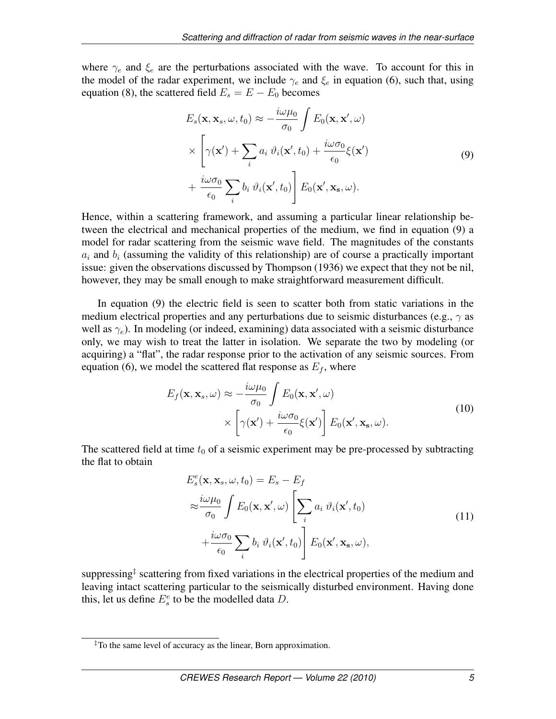where  $\gamma_e$  and  $\xi_e$  are the perturbations associated with the wave. To account for this in the model of the radar experiment, we include  $\gamma_e$  and  $\xi_e$  in equation (6), such that, using equation (8), the scattered field  $E_s = E - E_0$  becomes

$$
E_s(\mathbf{x}, \mathbf{x}_s, \omega, t_0) \approx -\frac{i\omega\mu_0}{\sigma_0} \int E_0(\mathbf{x}, \mathbf{x}', \omega)
$$
  
 
$$
\times \left[ \gamma(\mathbf{x}') + \sum_i a_i \vartheta_i(\mathbf{x}', t_0) + \frac{i\omega\sigma_0}{\epsilon_0} \xi(\mathbf{x}') \right]
$$
  
 
$$
+ \frac{i\omega\sigma_0}{\epsilon_0} \sum_i b_i \vartheta_i(\mathbf{x}', t_0) \right] E_0(\mathbf{x}', \mathbf{x}_s, \omega).
$$
 (9)

Hence, within a scattering framework, and assuming a particular linear relationship between the electrical and mechanical properties of the medium, we find in equation (9) a model for radar scattering from the seismic wave field. The magnitudes of the constants  $a_i$  and  $b_i$  (assuming the validity of this relationship) are of course a practically important issue: given the observations discussed by Thompson (1936) we expect that they not be nil, however, they may be small enough to make straightforward measurement difficult.

In equation (9) the electric field is seen to scatter both from static variations in the medium electrical properties and any perturbations due to seismic disturbances (e.g.,  $\gamma$  as well as  $\gamma_e$ ). In modeling (or indeed, examining) data associated with a seismic disturbance only, we may wish to treat the latter in isolation. We separate the two by modeling (or acquiring) a "flat", the radar response prior to the activation of any seismic sources. From equation (6), we model the scattered flat response as  $E_f$ , where

$$
E_f(\mathbf{x}, \mathbf{x}_s, \omega) \approx -\frac{i\omega\mu_0}{\sigma_0} \int E_0(\mathbf{x}, \mathbf{x}', \omega)
$$

$$
\times \left[ \gamma(\mathbf{x}') + \frac{i\omega\sigma_0}{\epsilon_0} \xi(\mathbf{x}') \right] E_0(\mathbf{x}', \mathbf{x}_s, \omega).
$$
(10)

The scattered field at time  $t_0$  of a seismic experiment may be pre-processed by subtracting the flat to obtain

$$
E_s^e(\mathbf{x}, \mathbf{x}_s, \omega, t_0) = E_s - E_f
$$
  
\n
$$
\approx \frac{i\omega\mu_0}{\sigma_0} \int E_0(\mathbf{x}, \mathbf{x}', \omega) \left[ \sum_i a_i \,\vartheta_i(\mathbf{x}', t_0) + \frac{i\omega\sigma_0}{\epsilon_0} \sum_i b_i \,\vartheta_i(\mathbf{x}', t_0) \right] E_0(\mathbf{x}', \mathbf{x}_s, \omega),
$$
\n(11)

suppressing<sup>‡</sup> scattering from fixed variations in the electrical properties of the medium and leaving intact scattering particular to the seismically disturbed environment. Having done this, let us define  $E_s^e$  to be the modelled data D.

 $\rm \ddagger$ To the same level of accuracy as the linear, Born approximation.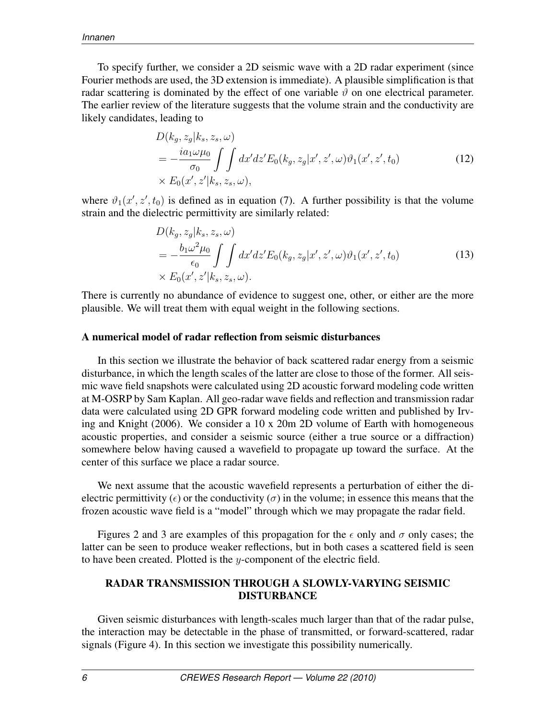To specify further, we consider a 2D seismic wave with a 2D radar experiment (since Fourier methods are used, the 3D extension is immediate). A plausible simplification is that radar scattering is dominated by the effect of one variable  $\vartheta$  on one electrical parameter. The earlier review of the literature suggests that the volume strain and the conductivity are likely candidates, leading to

$$
D(k_g, z_g|k_s, z_s, \omega)
$$
  
= 
$$
-\frac{ia_1\omega\mu_0}{\sigma_0} \int \int dx'dz'E_0(k_g, z_g|x', z', \omega)\vartheta_1(x', z', t_0)
$$
  

$$
\times E_0(x', z'|k_s, z_s, \omega),
$$
 (12)

where  $\vartheta_1(x', z', t_0)$  is defined as in equation (7). A further possibility is that the volume strain and the dielectric permittivity are similarly related:

$$
D(k_g, z_g|k_s, z_s, \omega)
$$
  
= 
$$
-\frac{b_1 \omega^2 \mu_0}{\epsilon_0} \int \int dx' dz' E_0(k_g, z_g|x', z', \omega) \vartheta_1(x', z', t_0)
$$
  

$$
\times E_0(x', z'|k_s, z_s, \omega).
$$
 (13)

There is currently no abundance of evidence to suggest one, other, or either are the more plausible. We will treat them with equal weight in the following sections.

#### A numerical model of radar reflection from seismic disturbances

In this section we illustrate the behavior of back scattered radar energy from a seismic disturbance, in which the length scales of the latter are close to those of the former. All seismic wave field snapshots were calculated using 2D acoustic forward modeling code written at M-OSRP by Sam Kaplan. All geo-radar wave fields and reflection and transmission radar data were calculated using 2D GPR forward modeling code written and published by Irving and Knight (2006). We consider a 10 x 20m 2D volume of Earth with homogeneous acoustic properties, and consider a seismic source (either a true source or a diffraction) somewhere below having caused a wavefield to propagate up toward the surface. At the center of this surface we place a radar source.

We next assume that the acoustic wavefield represents a perturbation of either the dielectric permittivity ( $\epsilon$ ) or the conductivity ( $\sigma$ ) in the volume; in essence this means that the frozen acoustic wave field is a "model" through which we may propagate the radar field.

Figures 2 and 3 are examples of this propagation for the  $\epsilon$  only and  $\sigma$  only cases; the latter can be seen to produce weaker reflections, but in both cases a scattered field is seen to have been created. Plotted is the  $y$ -component of the electric field.

### RADAR TRANSMISSION THROUGH A SLOWLY-VARYING SEISMIC DISTURBANCE

Given seismic disturbances with length-scales much larger than that of the radar pulse, the interaction may be detectable in the phase of transmitted, or forward-scattered, radar signals (Figure 4). In this section we investigate this possibility numerically.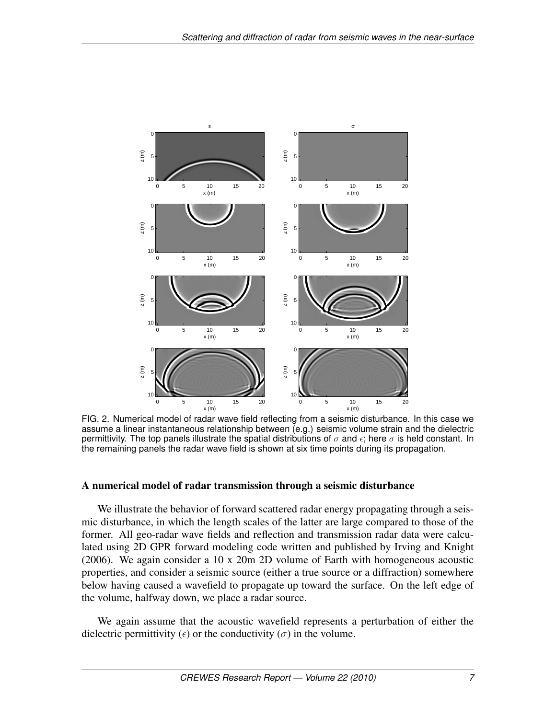

FIG. 2. Numerical model of radar wave field reflecting from a seismic disturbance. In this case we assume a linear instantaneous relationship between (e.g.) seismic volume strain and the dielectric permittivity. The top panels illustrate the spatial distributions of  $\sigma$  and  $\epsilon$ ; here  $\sigma$  is held constant. In the remaining panels the radar wave field is shown at six time points during its propagation.

### A numerical model of radar transmission through a seismic disturbance

We illustrate the behavior of forward scattered radar energy propagating through a seismic disturbance, in which the length scales of the latter are large compared to those of the former. All geo-radar wave fields and reflection and transmission radar data were calculated using 2D GPR forward modeling code written and published by Irving and Knight (2006). We again consider a 10 x 20m 2D volume of Earth with homogeneous acoustic properties, and consider a seismic source (either a true source or a diffraction) somewhere below having caused a wavefield to propagate up toward the surface. On the left edge of the volume, halfway down, we place a radar source.

We again assume that the acoustic wavefield represents a perturbation of either the dielectric permittivity ( $\epsilon$ ) or the conductivity ( $\sigma$ ) in the volume.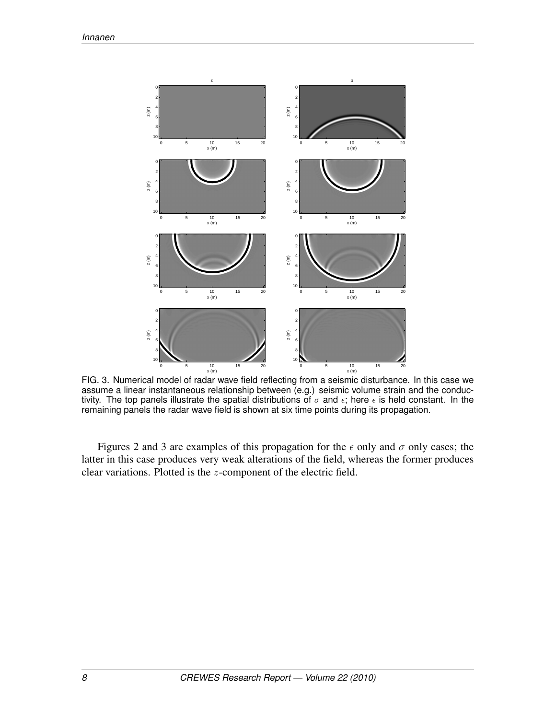

FIG. 3. Numerical model of radar wave field reflecting from a seismic disturbance. In this case we assume a linear instantaneous relationship between (e.g.) seismic volume strain and the conductivity. The top panels illustrate the spatial distributions of  $\sigma$  and  $\epsilon$ ; here  $\epsilon$  is held constant. In the remaining panels the radar wave field is shown at six time points during its propagation.

Figures 2 and 3 are examples of this propagation for the  $\epsilon$  only and  $\sigma$  only cases; the latter in this case produces very weak alterations of the field, whereas the former produces clear variations. Plotted is the z-component of the electric field.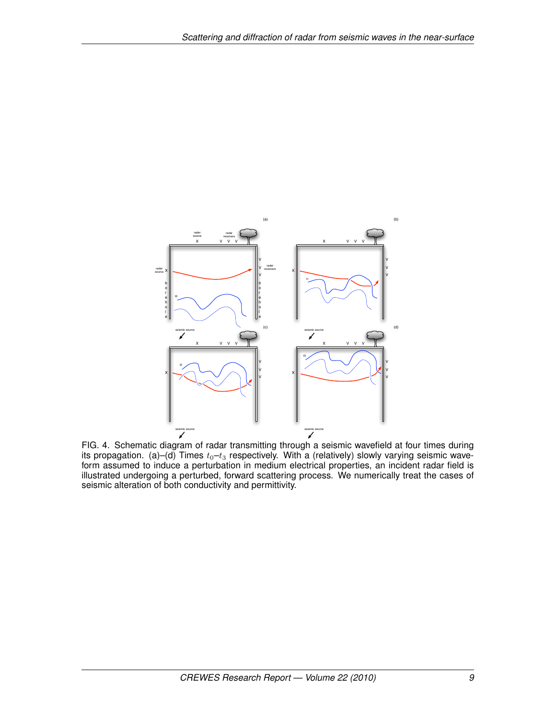

FIG. 4. Schematic diagram of radar transmitting through a seismic wavefield at four times during its propagation. (a)–(d) Times  $t_0$ – $t_3$  respectively. With a (relatively) slowly varying seismic waveform assumed to induce a perturbation in medium electrical properties, an incident radar field is illustrated undergoing a perturbed, forward scattering process. We numerically treat the cases of seismic alteration of both conductivity and permittivity.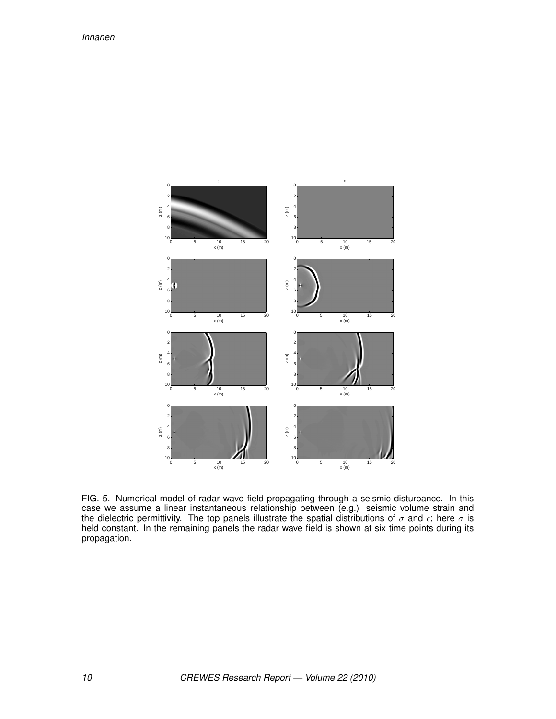

FIG. 5. Numerical model of radar wave field propagating through a seismic disturbance. In this case we assume a linear instantaneous relationship between (e.g.) seismic volume strain and the dielectric permittivity. The top panels illustrate the spatial distributions of  $\sigma$  and  $\epsilon$ ; here  $\sigma$  is held constant. In the remaining panels the radar wave field is shown at six time points during its propagation.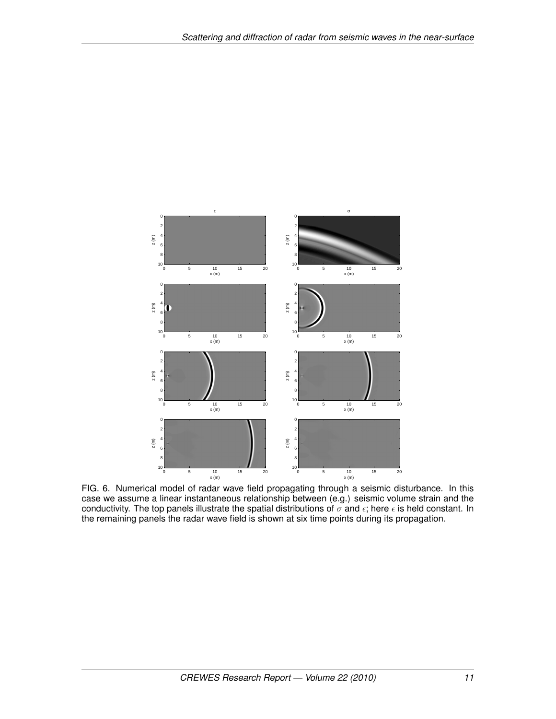

FIG. 6. Numerical model of radar wave field propagating through a seismic disturbance. In this case we assume a linear instantaneous relationship between (e.g.) seismic volume strain and the conductivity. The top panels illustrate the spatial distributions of  $\sigma$  and  $\epsilon$ ; here  $\epsilon$  is held constant. In the remaining panels the radar wave field is shown at six time points during its propagation.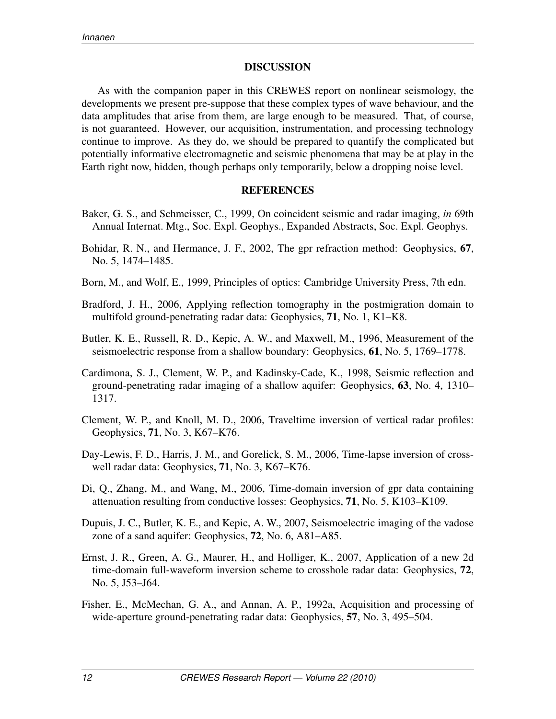#### DISCUSSION

As with the companion paper in this CREWES report on nonlinear seismology, the developments we present pre-suppose that these complex types of wave behaviour, and the data amplitudes that arise from them, are large enough to be measured. That, of course, is not guaranteed. However, our acquisition, instrumentation, and processing technology continue to improve. As they do, we should be prepared to quantify the complicated but potentially informative electromagnetic and seismic phenomena that may be at play in the Earth right now, hidden, though perhaps only temporarily, below a dropping noise level.

#### REFERENCES

- Baker, G. S., and Schmeisser, C., 1999, On coincident seismic and radar imaging, *in* 69th Annual Internat. Mtg., Soc. Expl. Geophys., Expanded Abstracts, Soc. Expl. Geophys.
- Bohidar, R. N., and Hermance, J. F., 2002, The gpr refraction method: Geophysics, 67, No. 5, 1474–1485.
- Born, M., and Wolf, E., 1999, Principles of optics: Cambridge University Press, 7th edn.
- Bradford, J. H., 2006, Applying reflection tomography in the postmigration domain to multifold ground-penetrating radar data: Geophysics, 71, No. 1, K1–K8.
- Butler, K. E., Russell, R. D., Kepic, A. W., and Maxwell, M., 1996, Measurement of the seismoelectric response from a shallow boundary: Geophysics, 61, No. 5, 1769–1778.
- Cardimona, S. J., Clement, W. P., and Kadinsky-Cade, K., 1998, Seismic reflection and ground-penetrating radar imaging of a shallow aquifer: Geophysics, 63, No. 4, 1310– 1317.
- Clement, W. P., and Knoll, M. D., 2006, Traveltime inversion of vertical radar profiles: Geophysics, 71, No. 3, K67–K76.
- Day-Lewis, F. D., Harris, J. M., and Gorelick, S. M., 2006, Time-lapse inversion of crosswell radar data: Geophysics, 71, No. 3, K67–K76.
- Di, Q., Zhang, M., and Wang, M., 2006, Time-domain inversion of gpr data containing attenuation resulting from conductive losses: Geophysics, 71, No. 5, K103–K109.
- Dupuis, J. C., Butler, K. E., and Kepic, A. W., 2007, Seismoelectric imaging of the vadose zone of a sand aquifer: Geophysics, 72, No. 6, A81–A85.
- Ernst, J. R., Green, A. G., Maurer, H., and Holliger, K., 2007, Application of a new 2d time-domain full-waveform inversion scheme to crosshole radar data: Geophysics, 72, No. 5, J53–J64.
- Fisher, E., McMechan, G. A., and Annan, A. P., 1992a, Acquisition and processing of wide-aperture ground-penetrating radar data: Geophysics, 57, No. 3, 495–504.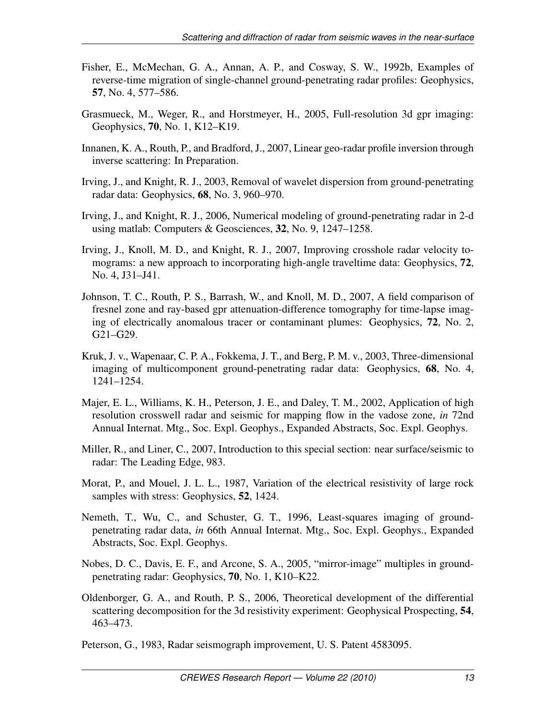- Fisher, E., McMechan, G. A., Annan, A. P., and Cosway, S. W., 1992b, Examples of reverse-time migration of single-channel ground-penetrating radar profiles: Geophysics, 57, No. 4, 577–586.
- Grasmueck, M., Weger, R., and Horstmeyer, H., 2005, Full-resolution 3d gpr imaging: Geophysics, 70, No. 1, K12–K19.
- Innanen, K. A., Routh, P., and Bradford, J., 2007, Linear geo-radar profile inversion through inverse scattering: In Preparation.
- Irving, J., and Knight, R. J., 2003, Removal of wavelet dispersion from ground-penetrating radar data: Geophysics, 68, No. 3, 960–970.
- Irving, J., and Knight, R. J., 2006, Numerical modeling of ground-penetrating radar in 2-d using matlab: Computers & Geosciences, 32, No. 9, 1247–1258.
- Irving, J., Knoll, M. D., and Knight, R. J., 2007, Improving crosshole radar velocity tomograms: a new approach to incorporating high-angle traveltime data: Geophysics, 72, No. 4, J31–J41.
- Johnson, T. C., Routh, P. S., Barrash, W., and Knoll, M. D., 2007, A field comparison of fresnel zone and ray-based gpr attenuation-difference tomography for time-lapse imaging of electrically anomalous tracer or contaminant plumes: Geophysics, 72, No. 2, G21–G29.
- Kruk, J. v., Wapenaar, C. P. A., Fokkema, J. T., and Berg, P. M. v., 2003, Three-dimensional imaging of multicomponent ground-penetrating radar data: Geophysics, 68, No. 4, 1241–1254.
- Majer, E. L., Williams, K. H., Peterson, J. E., and Daley, T. M., 2002, Application of high resolution crosswell radar and seismic for mapping flow in the vadose zone, *in* 72nd Annual Internat. Mtg., Soc. Expl. Geophys., Expanded Abstracts, Soc. Expl. Geophys.
- Miller, R., and Liner, C., 2007, Introduction to this special section: near surface/seismic to radar: The Leading Edge, 983.
- Morat, P., and Mouel, J. L. L., 1987, Variation of the electrical resistivity of large rock samples with stress: Geophysics, **52**, 1424.
- Nemeth, T., Wu, C., and Schuster, G. T., 1996, Least-squares imaging of groundpenetrating radar data, *in* 66th Annual Internat. Mtg., Soc. Expl. Geophys., Expanded Abstracts, Soc. Expl. Geophys.
- Nobes, D. C., Davis, E. F., and Arcone, S. A., 2005, "mirror-image" multiples in groundpenetrating radar: Geophysics, 70, No. 1, K10–K22.
- Oldenborger, G. A., and Routh, P. S., 2006, Theoretical development of the differential scattering decomposition for the 3d resistivity experiment: Geophysical Prospecting, 54, 463–473.

Peterson, G., 1983, Radar seismograph improvement, U. S. Patent 4583095.